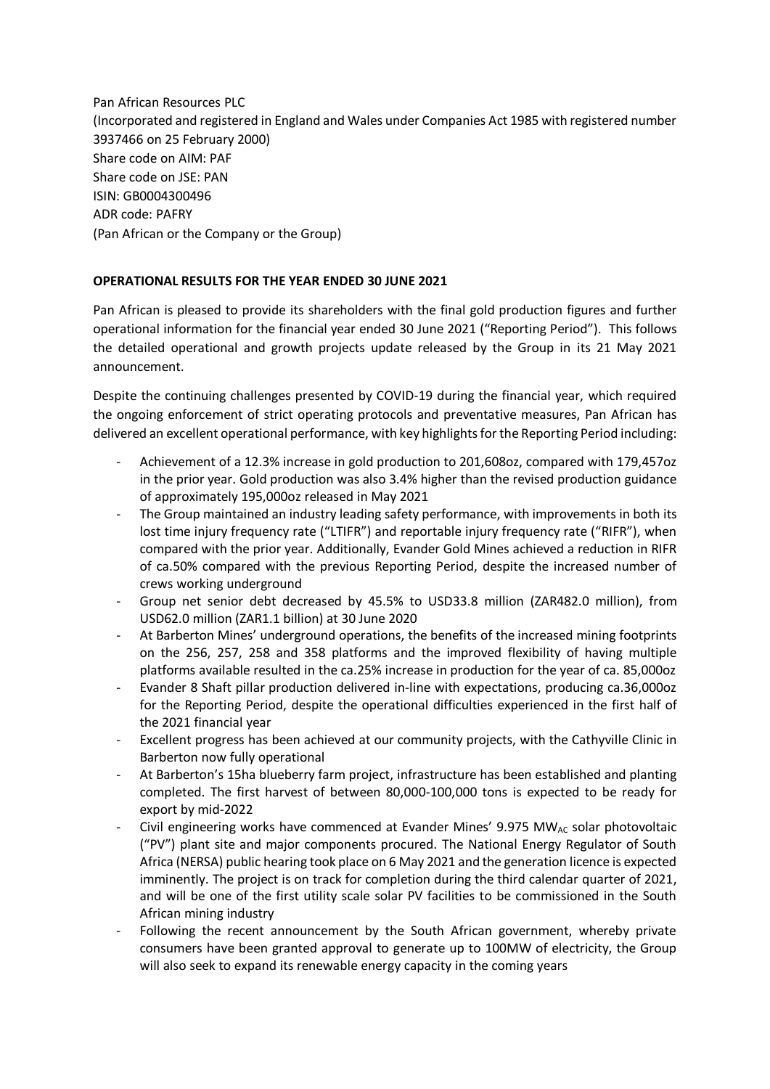Pan African Resources PLC (Incorporated and registered in England and Wales under Companies Act 1985 with registered number 3937466 on 25 February 2000) Share code on AIM: PAF Share code on JSE: PAN ISIN: GB0004300496 ADR code: PAFRY (Pan African or the Company or the Group)

# **OPERATIONAL RESULTS FOR THE YEAR ENDED 30 JUNE 2021**

Pan African is pleased to provide its shareholders with the final gold production figures and further operational information for the financial year ended 30 June 2021 ("Reporting Period"). This follows the detailed operational and growth projects update released by the Group in its 21 May 2021 announcement.

Despite the continuing challenges presented by COVID-19 during the financial year, which required the ongoing enforcement of strict operating protocols and preventative measures, Pan African has delivered an excellent operational performance, with key highlights for the Reporting Period including:

- Achievement of a 12.3% increase in gold production to 201,608oz, compared with 179,457oz in the prior year. Gold production was also 3.4% higher than the revised production guidance of approximately 195,000oz released in May 2021
- The Group maintained an industry leading safety performance, with improvements in both its lost time injury frequency rate ("LTIFR") and reportable injury frequency rate ("RIFR"), when compared with the prior year. Additionally, Evander Gold Mines achieved a reduction in RIFR of ca.50% compared with the previous Reporting Period, despite the increased number of crews working underground
- Group net senior debt decreased by 45.5% to USD33.8 million (ZAR482.0 million), from USD62.0 million (ZAR1.1 billion) at 30 June 2020
- At Barberton Mines' underground operations, the benefits of the increased mining footprints on the 256, 257, 258 and 358 platforms and the improved flexibility of having multiple platforms available resulted in the ca.25% increase in production for the year of ca. 85,000oz
- Evander 8 Shaft pillar production delivered in-line with expectations, producing ca.36,000oz for the Reporting Period, despite the operational difficulties experienced in the first half of the 2021 financial year
- Excellent progress has been achieved at our community projects, with the Cathyville Clinic in Barberton now fully operational
- At Barberton's 15ha blueberry farm project, infrastructure has been established and planting completed. The first harvest of between 80,000-100,000 tons is expected to be ready for export by mid-2022
- Civil engineering works have commenced at Evander Mines' 9.975 MW<sub>AC</sub> solar photovoltaic ("PV") plant site and major components procured. The National Energy Regulator of South Africa (NERSA) public hearing took place on 6 May 2021 and the generation licence is expected imminently. The project is on track for completion during the third calendar quarter of 2021, and will be one of the first utility scale solar PV facilities to be commissioned in the South African mining industry
- Following the recent announcement by the South African government, whereby private consumers have been granted approval to generate up to 100MW of electricity, the Group will also seek to expand its renewable energy capacity in the coming years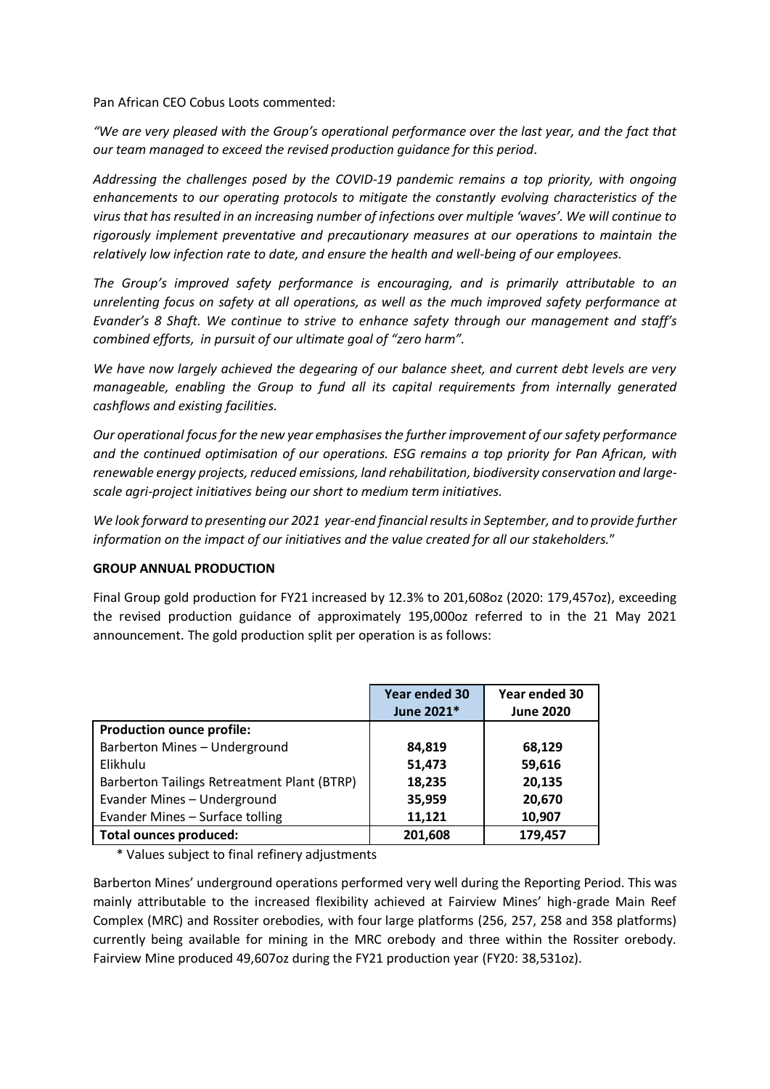Pan African CEO Cobus Loots commented:

*"We are very pleased with the Group's operational performance over the last year, and the fact that our team managed to exceed the revised production guidance for this period.* 

*Addressing the challenges posed by the COVID-19 pandemic remains a top priority, with ongoing enhancements to our operating protocols to mitigate the constantly evolving characteristics of the virus that has resulted in an increasing number of infections over multiple 'waves'. We will continue to rigorously implement preventative and precautionary measures at our operations to maintain the relatively low infection rate to date, and ensure the health and well-being of our employees.* 

*The Group's improved safety performance is encouraging, and is primarily attributable to an unrelenting focus on safety at all operations, as well as the much improved safety performance at Evander's 8 Shaft. We continue to strive to enhance safety through our management and staff's combined efforts, in pursuit of our ultimate goal of "zero harm".* 

*We have now largely achieved the degearing of our balance sheet, and current debt levels are very manageable, enabling the Group to fund all its capital requirements from internally generated cashflows and existing facilities.*

*Our operational focus for the new year emphasises the further improvement of our safety performance and the continued optimisation of our operations. ESG remains a top priority for Pan African, with renewable energy projects, reduced emissions, land rehabilitation, biodiversity conservation and largescale agri-project initiatives being our short to medium term initiatives.*

We look forward to presenting our 2021 year-end financial results in September, and to provide further *information on the impact of our initiatives and the value created for all our stakeholders.*"

### **GROUP ANNUAL PRODUCTION**

Final Group gold production for FY21 increased by 12.3% to 201,608oz (2020: 179,457oz), exceeding the revised production guidance of approximately 195,000oz referred to in the 21 May 2021 announcement. The gold production split per operation is as follows:

|                                             | Year ended 30<br>June 2021* | Year ended 30<br><b>June 2020</b> |
|---------------------------------------------|-----------------------------|-----------------------------------|
| <b>Production ounce profile:</b>            |                             |                                   |
| Barberton Mines - Underground               | 84,819                      | 68,129                            |
| Elikhulu                                    | 51,473                      | 59,616                            |
| Barberton Tailings Retreatment Plant (BTRP) | 18,235                      | 20,135                            |
| Evander Mines - Underground                 | 35,959                      | 20,670                            |
| Evander Mines - Surface tolling             | 11,121                      | 10,907                            |
| <b>Total ounces produced:</b>               | 201,608                     | 179,457                           |

\* Values subject to final refinery adjustments

Barberton Mines' underground operations performed very well during the Reporting Period. This was mainly attributable to the increased flexibility achieved at Fairview Mines' high-grade Main Reef Complex (MRC) and Rossiter orebodies, with four large platforms (256, 257, 258 and 358 platforms) currently being available for mining in the MRC orebody and three within the Rossiter orebody. Fairview Mine produced 49,607oz during the FY21 production year (FY20: 38,531oz).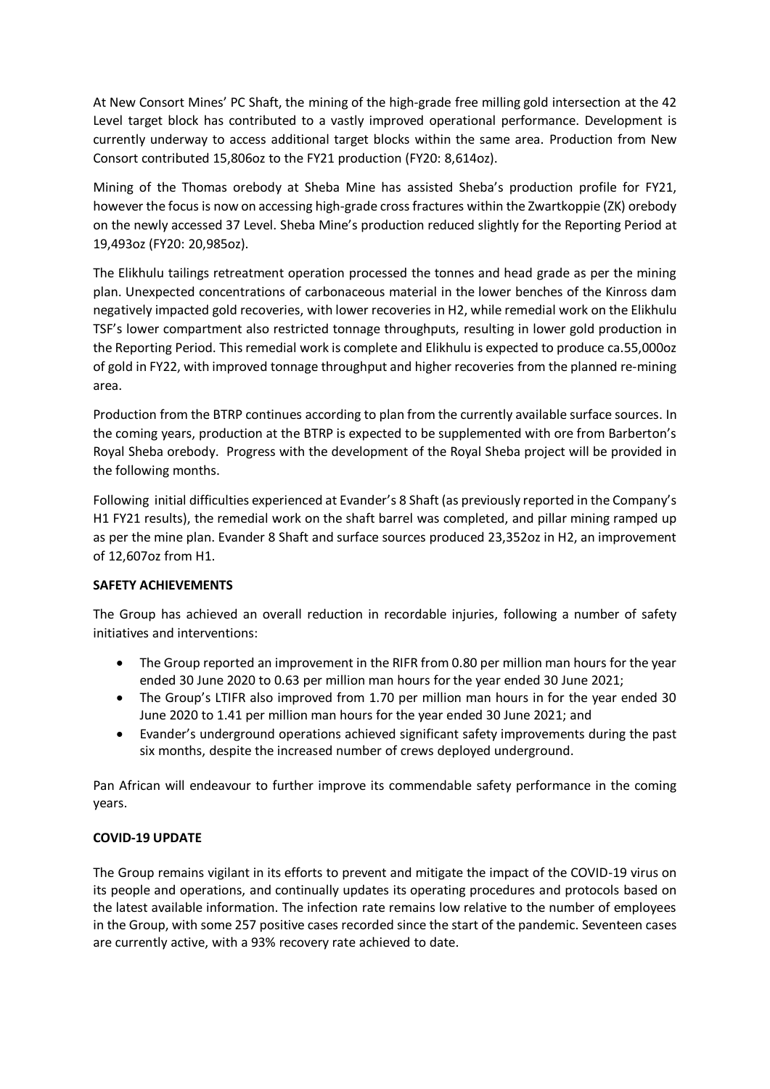At New Consort Mines' PC Shaft, the mining of the high-grade free milling gold intersection at the 42 Level target block has contributed to a vastly improved operational performance. Development is currently underway to access additional target blocks within the same area. Production from New Consort contributed 15,806oz to the FY21 production (FY20: 8,614oz).

Mining of the Thomas orebody at Sheba Mine has assisted Sheba's production profile for FY21, however the focus is now on accessing high-grade cross fractures within the Zwartkoppie (ZK) orebody on the newly accessed 37 Level. Sheba Mine's production reduced slightly for the Reporting Period at 19,493oz (FY20: 20,985oz).

The Elikhulu tailings retreatment operation processed the tonnes and head grade as per the mining plan. Unexpected concentrations of carbonaceous material in the lower benches of the Kinross dam negatively impacted gold recoveries, with lower recoveries in H2, while remedial work on the Elikhulu TSF's lower compartment also restricted tonnage throughputs, resulting in lower gold production in the Reporting Period. This remedial work is complete and Elikhulu is expected to produce ca.55,000oz of gold in FY22, with improved tonnage throughput and higher recoveries from the planned re-mining area.

Production from the BTRP continues according to plan from the currently available surface sources. In the coming years, production at the BTRP is expected to be supplemented with ore from Barberton's Royal Sheba orebody. Progress with the development of the Royal Sheba project will be provided in the following months.

Following initial difficulties experienced at Evander's 8 Shaft (as previously reported in the Company's H1 FY21 results), the remedial work on the shaft barrel was completed, and pillar mining ramped up as per the mine plan. Evander 8 Shaft and surface sources produced 23,352oz in H2, an improvement of 12,607oz from H1.

# **SAFETY ACHIEVEMENTS**

The Group has achieved an overall reduction in recordable injuries, following a number of safety initiatives and interventions:

- The Group reported an improvement in the RIFR from 0.80 per million man hours for the year ended 30 June 2020 to 0.63 per million man hours for the year ended 30 June 2021;
- The Group's LTIFR also improved from 1.70 per million man hours in for the year ended 30 June 2020 to 1.41 per million man hours for the year ended 30 June 2021; and
- Evander's underground operations achieved significant safety improvements during the past six months, despite the increased number of crews deployed underground.

Pan African will endeavour to further improve its commendable safety performance in the coming years.

### **COVID-19 UPDATE**

The Group remains vigilant in its efforts to prevent and mitigate the impact of the COVID-19 virus on its people and operations, and continually updates its operating procedures and protocols based on the latest available information. The infection rate remains low relative to the number of employees in the Group, with some 257 positive cases recorded since the start of the pandemic. Seventeen cases are currently active, with a 93% recovery rate achieved to date.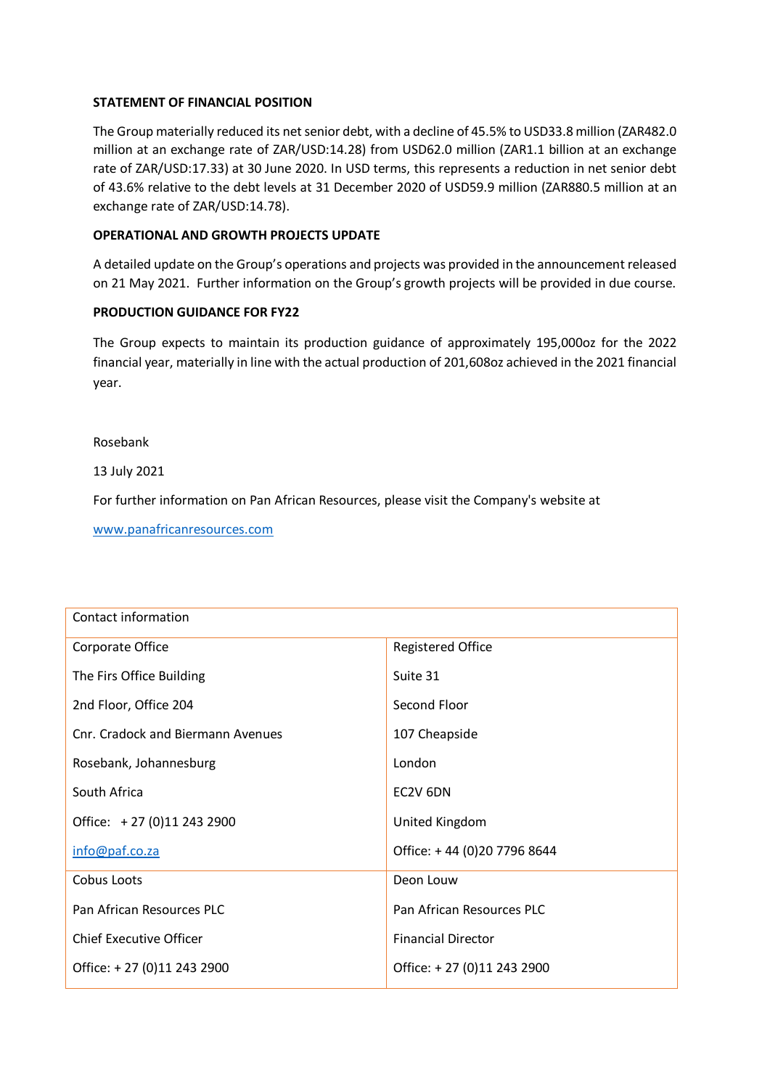### **STATEMENT OF FINANCIAL POSITION**

The Group materially reduced its net senior debt, with a decline of 45.5% to USD33.8 million (ZAR482.0 million at an exchange rate of ZAR/USD:14.28) from USD62.0 million (ZAR1.1 billion at an exchange rate of ZAR/USD:17.33) at 30 June 2020. In USD terms, this represents a reduction in net senior debt of 43.6% relative to the debt levels at 31 December 2020 of USD59.9 million (ZAR880.5 million at an exchange rate of ZAR/USD:14.78).

### **OPERATIONAL AND GROWTH PROJECTS UPDATE**

A detailed update on the Group's operations and projects was provided in the announcement released on 21 May 2021. Further information on the Group's growth projects will be provided in due course.

### **PRODUCTION GUIDANCE FOR FY22**

The Group expects to maintain its production guidance of approximately 195,000oz for the 2022 financial year, materially in line with the actual production of 201,608oz achieved in the 2021 financial year.

Rosebank

13 July 2021

For further information on Pan African Resources, please visit the Company's website at

[www.panafricanresources.com](http://www.panafricanresources.com/)

| Contact information               |                             |  |
|-----------------------------------|-----------------------------|--|
| Corporate Office                  | <b>Registered Office</b>    |  |
| The Firs Office Building          | Suite 31                    |  |
| 2nd Floor, Office 204             | Second Floor                |  |
| Cnr. Cradock and Biermann Avenues | 107 Cheapside               |  |
| Rosebank, Johannesburg            | London                      |  |
| South Africa                      | EC2V 6DN                    |  |
| Office: +27 (0)11 243 2900        | United Kingdom              |  |
| info@paf.co.za                    | Office: +44 (0)20 7796 8644 |  |
| Cobus Loots                       | Deon Louw                   |  |
| Pan African Resources PLC         | Pan African Resources PLC   |  |
| <b>Chief Executive Officer</b>    | <b>Financial Director</b>   |  |
| Office: +27 (0)11 243 2900        | Office: +27 (0)11 243 2900  |  |